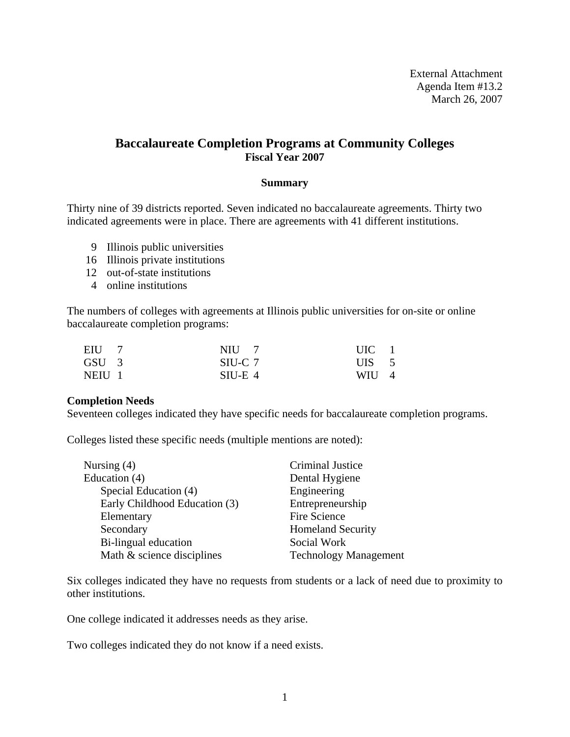External Attachment Agenda Item #13.2 March 26, 2007

### **Baccalaureate Completion Programs at Community Colleges Fiscal Year 2007**

### **Summary**

Thirty nine of 39 districts reported. Seven indicated no baccalaureate agreements. Thirty two indicated agreements were in place. There are agreements with 41 different institutions.

- 9 Illinois public universities
- 16 Illinois private institutions
- 12 out-of-state institutions
- 4 online institutions

The numbers of colleges with agreements at Illinois public universities for on-site or online baccalaureate completion programs:

| EIU 7            | $NIII$ 7  | $UIC$ 1    |  |
|------------------|-----------|------------|--|
| GSU <sub>3</sub> | SIU-C 7   | $UIS \t 5$ |  |
| NEIU 1           | $SIU-E_4$ | WIU 4      |  |

#### **Completion Needs**

Seventeen colleges indicated they have specific needs for baccalaureate completion programs.

Colleges listed these specific needs (multiple mentions are noted):

| Nursing $(4)$                 | Criminal Justice             |
|-------------------------------|------------------------------|
| Education (4)                 | Dental Hygiene               |
| Special Education (4)         | Engineering                  |
| Early Childhood Education (3) | Entrepreneurship             |
| Elementary                    | Fire Science                 |
| Secondary                     | <b>Homeland Security</b>     |
| Bi-lingual education          | Social Work                  |
| Math & science disciplines    | <b>Technology Management</b> |
|                               |                              |

Six colleges indicated they have no requests from students or a lack of need due to proximity to other institutions.

One college indicated it addresses needs as they arise.

Two colleges indicated they do not know if a need exists.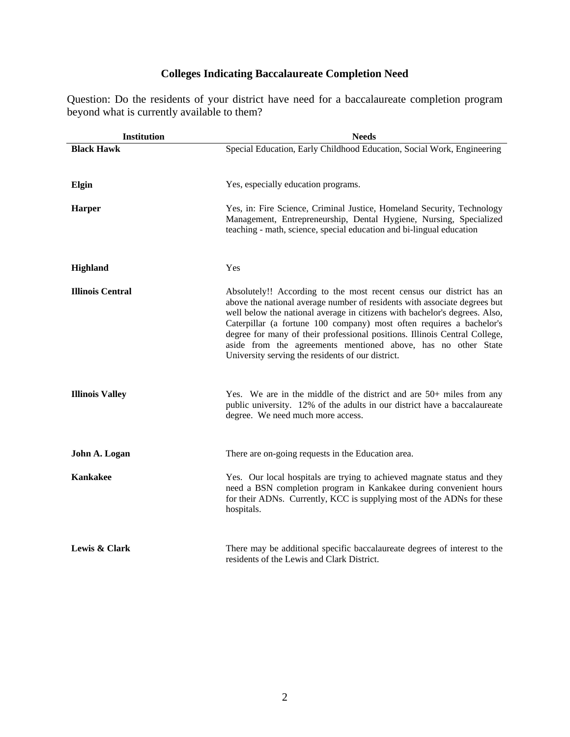# **Colleges Indicating Baccalaureate Completion Need**

Question: Do the residents of your district have need for a baccalaureate completion program beyond what is currently available to them?

| <b>Institution</b>      | <b>Needs</b>                                                                                                                                                                                                                                                                                                                                                                                                                                                                                                |
|-------------------------|-------------------------------------------------------------------------------------------------------------------------------------------------------------------------------------------------------------------------------------------------------------------------------------------------------------------------------------------------------------------------------------------------------------------------------------------------------------------------------------------------------------|
| <b>Black Hawk</b>       | Special Education, Early Childhood Education, Social Work, Engineering                                                                                                                                                                                                                                                                                                                                                                                                                                      |
| Elgin                   | Yes, especially education programs.                                                                                                                                                                                                                                                                                                                                                                                                                                                                         |
| <b>Harper</b>           | Yes, in: Fire Science, Criminal Justice, Homeland Security, Technology<br>Management, Entrepreneurship, Dental Hygiene, Nursing, Specialized<br>teaching - math, science, special education and bi-lingual education                                                                                                                                                                                                                                                                                        |
| <b>Highland</b>         | Yes                                                                                                                                                                                                                                                                                                                                                                                                                                                                                                         |
| <b>Illinois Central</b> | Absolutely!! According to the most recent census our district has an<br>above the national average number of residents with associate degrees but<br>well below the national average in citizens with bachelor's degrees. Also,<br>Caterpillar (a fortune 100 company) most often requires a bachelor's<br>degree for many of their professional positions. Illinois Central College,<br>aside from the agreements mentioned above, has no other State<br>University serving the residents of our district. |
| <b>Illinois Valley</b>  | Yes. We are in the middle of the district and are $50+$ miles from any<br>public university. 12% of the adults in our district have a baccalaureate<br>degree. We need much more access.                                                                                                                                                                                                                                                                                                                    |
| John A. Logan           | There are on-going requests in the Education area.                                                                                                                                                                                                                                                                                                                                                                                                                                                          |
| <b>Kankakee</b>         | Yes. Our local hospitals are trying to achieved magnate status and they<br>need a BSN completion program in Kankakee during convenient hours<br>for their ADNs. Currently, KCC is supplying most of the ADNs for these<br>hospitals.                                                                                                                                                                                                                                                                        |
| Lewis & Clark           | There may be additional specific baccalaureate degrees of interest to the<br>residents of the Lewis and Clark District.                                                                                                                                                                                                                                                                                                                                                                                     |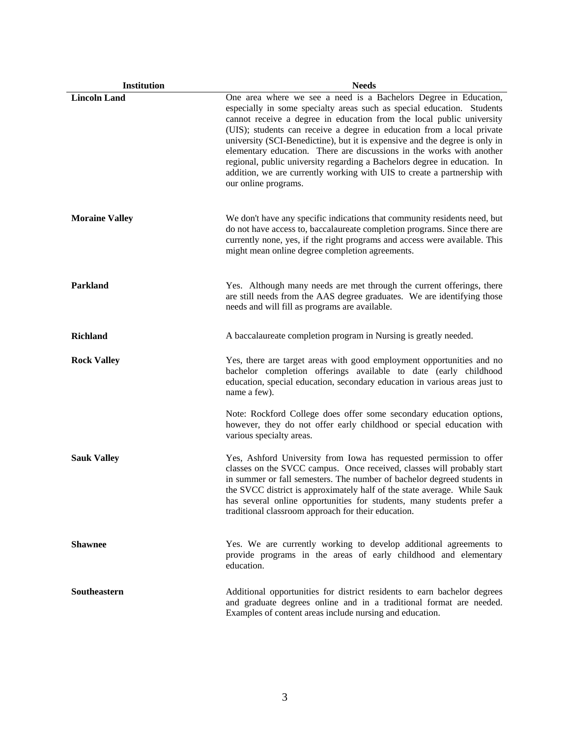| Institution           | <b>Needs</b>                                                                                                                                                                                                                                                                                                                                                                                                                                                                                                                                                                                                                           |
|-----------------------|----------------------------------------------------------------------------------------------------------------------------------------------------------------------------------------------------------------------------------------------------------------------------------------------------------------------------------------------------------------------------------------------------------------------------------------------------------------------------------------------------------------------------------------------------------------------------------------------------------------------------------------|
| <b>Lincoln Land</b>   | One area where we see a need is a Bachelors Degree in Education,<br>especially in some specialty areas such as special education. Students<br>cannot receive a degree in education from the local public university<br>(UIS); students can receive a degree in education from a local private<br>university (SCI-Benedictine), but it is expensive and the degree is only in<br>elementary education. There are discussions in the works with another<br>regional, public university regarding a Bachelors degree in education. In<br>addition, we are currently working with UIS to create a partnership with<br>our online programs. |
| <b>Moraine Valley</b> | We don't have any specific indications that community residents need, but<br>do not have access to, baccalaureate completion programs. Since there are<br>currently none, yes, if the right programs and access were available. This<br>might mean online degree completion agreements.                                                                                                                                                                                                                                                                                                                                                |
| Parkland              | Yes. Although many needs are met through the current offerings, there<br>are still needs from the AAS degree graduates. We are identifying those<br>needs and will fill as programs are available.                                                                                                                                                                                                                                                                                                                                                                                                                                     |
| <b>Richland</b>       | A baccalaureate completion program in Nursing is greatly needed.                                                                                                                                                                                                                                                                                                                                                                                                                                                                                                                                                                       |
| <b>Rock Valley</b>    | Yes, there are target areas with good employment opportunities and no<br>bachelor completion offerings available to date (early childhood<br>education, special education, secondary education in various areas just to<br>name a few).                                                                                                                                                                                                                                                                                                                                                                                                |
|                       | Note: Rockford College does offer some secondary education options,<br>however, they do not offer early childhood or special education with<br>various specialty areas.                                                                                                                                                                                                                                                                                                                                                                                                                                                                |
| <b>Sauk Valley</b>    | Yes, Ashford University from Iowa has requested permission to offer<br>classes on the SVCC campus. Once received, classes will probably start<br>in summer or fall semesters. The number of bachelor degreed students in<br>the SVCC district is approximately half of the state average. While Sauk<br>has several online opportunities for students, many students prefer a<br>traditional classroom approach for their education.                                                                                                                                                                                                   |
| <b>Shawnee</b>        | Yes. We are currently working to develop additional agreements to<br>provide programs in the areas of early childhood and elementary<br>education.                                                                                                                                                                                                                                                                                                                                                                                                                                                                                     |
| <b>Southeastern</b>   | Additional opportunities for district residents to earn bachelor degrees<br>and graduate degrees online and in a traditional format are needed.<br>Examples of content areas include nursing and education.                                                                                                                                                                                                                                                                                                                                                                                                                            |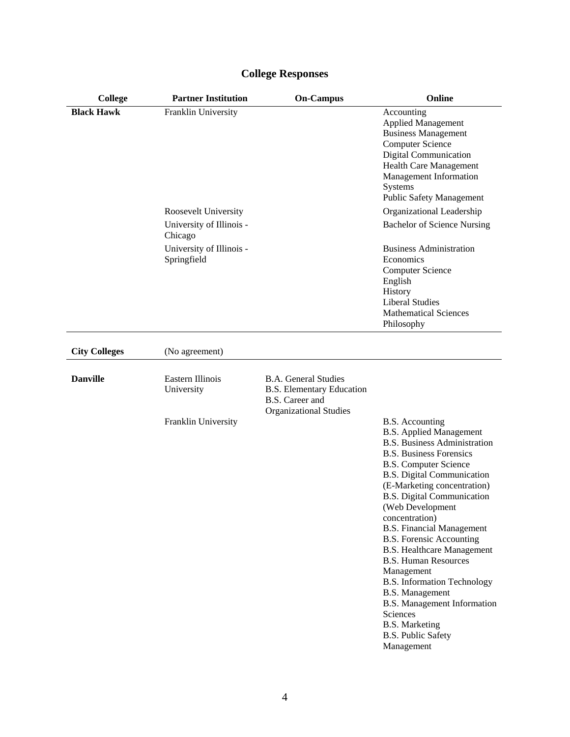| <b>College</b>       | <b>Partner Institution</b>              | <b>On-Campus</b>                                                                                                    | Online                                                                                                                                                                                                                                                                                                                                                                                                                                                                                                                                                                                                                                            |
|----------------------|-----------------------------------------|---------------------------------------------------------------------------------------------------------------------|---------------------------------------------------------------------------------------------------------------------------------------------------------------------------------------------------------------------------------------------------------------------------------------------------------------------------------------------------------------------------------------------------------------------------------------------------------------------------------------------------------------------------------------------------------------------------------------------------------------------------------------------------|
| <b>Black Hawk</b>    | Franklin University                     |                                                                                                                     | Accounting<br><b>Applied Management</b><br><b>Business Management</b><br><b>Computer Science</b><br><b>Digital Communication</b><br>Health Care Management<br>Management Information<br>Systems<br><b>Public Safety Management</b>                                                                                                                                                                                                                                                                                                                                                                                                                |
|                      | Roosevelt University                    |                                                                                                                     | Organizational Leadership                                                                                                                                                                                                                                                                                                                                                                                                                                                                                                                                                                                                                         |
|                      | University of Illinois -<br>Chicago     |                                                                                                                     | <b>Bachelor of Science Nursing</b>                                                                                                                                                                                                                                                                                                                                                                                                                                                                                                                                                                                                                |
|                      | University of Illinois -<br>Springfield |                                                                                                                     | <b>Business Administration</b><br>Economics<br><b>Computer Science</b><br>English<br>History<br><b>Liberal Studies</b><br><b>Mathematical Sciences</b><br>Philosophy                                                                                                                                                                                                                                                                                                                                                                                                                                                                              |
| <b>City Colleges</b> | (No agreement)                          |                                                                                                                     |                                                                                                                                                                                                                                                                                                                                                                                                                                                                                                                                                                                                                                                   |
| <b>Danville</b>      | Eastern Illinois<br>University          | <b>B.A.</b> General Studies<br><b>B.S. Elementary Education</b><br>B.S. Career and<br><b>Organizational Studies</b> |                                                                                                                                                                                                                                                                                                                                                                                                                                                                                                                                                                                                                                                   |
|                      | Franklin University                     |                                                                                                                     | <b>B.S.</b> Accounting<br><b>B.S. Applied Management</b><br><b>B.S. Business Administration</b><br><b>B.S. Business Forensics</b><br><b>B.S. Computer Science</b><br>B.S. Digital Communication<br>(E-Marketing concentration)<br><b>B.S. Digital Communication</b><br>(Web Development<br>concentration)<br><b>B.S. Financial Management</b><br><b>B.S. Forensic Accounting</b><br><b>B.S. Healthcare Management</b><br><b>B.S. Human Resources</b><br>Management<br><b>B.S. Information Technology</b><br><b>B.S. Management</b><br>B.S. Management Information<br>Sciences<br><b>B.S. Marketing</b><br><b>B.S. Public Safety</b><br>Management |

# **College Responses**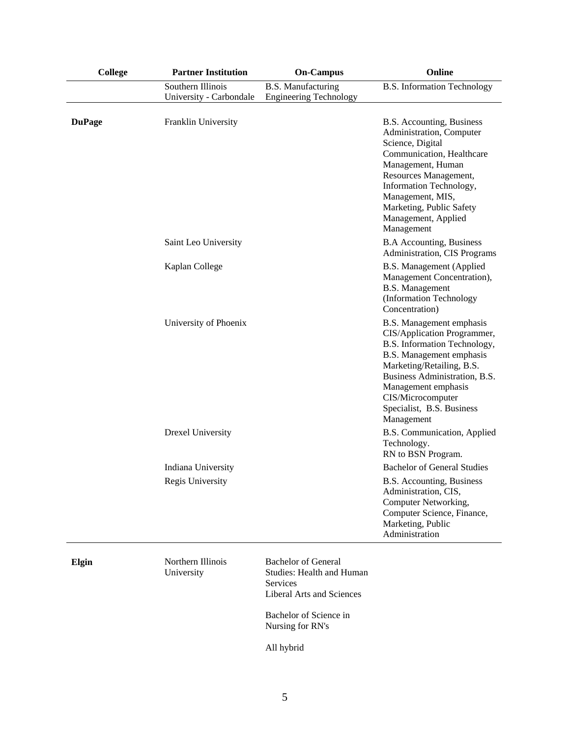| <b>College</b> | <b>Partner Institution</b>                   | <b>On-Campus</b>                                                                                                      | Online                                                                                                                                                                                                                                                                   |
|----------------|----------------------------------------------|-----------------------------------------------------------------------------------------------------------------------|--------------------------------------------------------------------------------------------------------------------------------------------------------------------------------------------------------------------------------------------------------------------------|
|                | Southern Illinois<br>University - Carbondale | <b>B.S. Manufacturing</b><br><b>Engineering Technology</b>                                                            | <b>B.S.</b> Information Technology                                                                                                                                                                                                                                       |
| <b>DuPage</b>  | Franklin University                          |                                                                                                                       | B.S. Accounting, Business<br>Administration, Computer<br>Science, Digital<br>Communication, Healthcare<br>Management, Human<br>Resources Management,<br>Information Technology,<br>Management, MIS,<br>Marketing, Public Safety<br>Management, Applied<br>Management     |
|                | Saint Leo University                         |                                                                                                                       | <b>B.A Accounting, Business</b><br>Administration, CIS Programs                                                                                                                                                                                                          |
|                | Kaplan College                               |                                                                                                                       | <b>B.S. Management (Applied</b><br>Management Concentration),<br><b>B.S.</b> Management<br>(Information Technology<br>Concentration)                                                                                                                                     |
|                | University of Phoenix                        |                                                                                                                       | B.S. Management emphasis<br>CIS/Application Programmer,<br>B.S. Information Technology,<br>B.S. Management emphasis<br>Marketing/Retailing, B.S.<br>Business Administration, B.S.<br>Management emphasis<br>CIS/Microcomputer<br>Specialist, B.S. Business<br>Management |
|                | <b>Drexel University</b>                     |                                                                                                                       | B.S. Communication, Applied<br>Technology.<br>RN to BSN Program.                                                                                                                                                                                                         |
|                | Indiana University                           |                                                                                                                       | <b>Bachelor of General Studies</b>                                                                                                                                                                                                                                       |
|                | Regis University                             |                                                                                                                       | B.S. Accounting, Business<br>Administration, CIS,<br>Computer Networking,<br>Computer Science, Finance,<br>Marketing, Public<br>Administration                                                                                                                           |
| Elgin          | Northern Illinois<br>University              | <b>Bachelor</b> of General<br><b>Studies: Health and Human</b><br><b>Services</b><br><b>Liberal Arts and Sciences</b> |                                                                                                                                                                                                                                                                          |
|                |                                              | Bachelor of Science in                                                                                                |                                                                                                                                                                                                                                                                          |

Nursing for RN's

All hybrid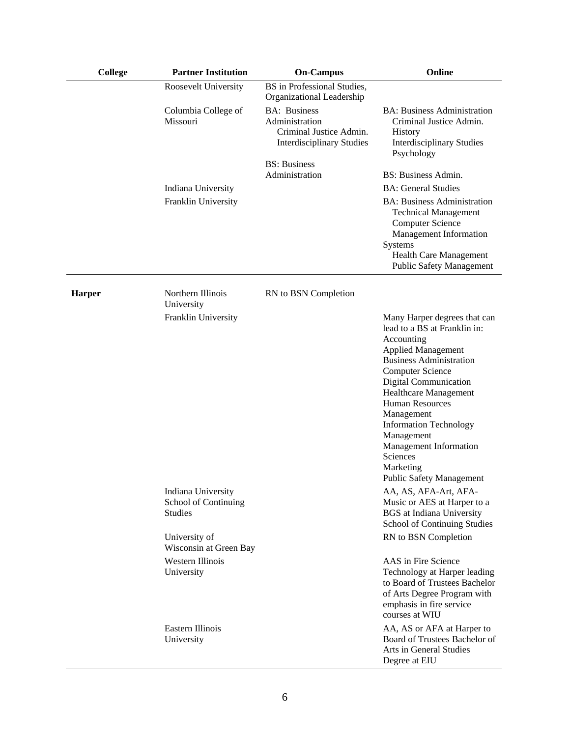| <b>College</b> | <b>Partner Institution</b>                                   | <b>On-Campus</b>                                                                                     | Online                                                                                                                                                                                                                                                                                                                                                                                                            |
|----------------|--------------------------------------------------------------|------------------------------------------------------------------------------------------------------|-------------------------------------------------------------------------------------------------------------------------------------------------------------------------------------------------------------------------------------------------------------------------------------------------------------------------------------------------------------------------------------------------------------------|
|                | Roosevelt University                                         | BS in Professional Studies,<br>Organizational Leadership                                             |                                                                                                                                                                                                                                                                                                                                                                                                                   |
|                | Columbia College of<br>Missouri                              | <b>BA:</b> Business<br>Administration<br>Criminal Justice Admin.<br><b>Interdisciplinary Studies</b> | <b>BA: Business Administration</b><br>Criminal Justice Admin.<br>History<br><b>Interdisciplinary Studies</b><br>Psychology                                                                                                                                                                                                                                                                                        |
|                |                                                              | <b>BS:</b> Business<br>Administration                                                                | BS: Business Admin.                                                                                                                                                                                                                                                                                                                                                                                               |
|                | Indiana University                                           |                                                                                                      | <b>BA: General Studies</b>                                                                                                                                                                                                                                                                                                                                                                                        |
|                | Franklin University                                          |                                                                                                      | <b>BA: Business Administration</b><br><b>Technical Management</b><br><b>Computer Science</b><br>Management Information<br>Systems<br><b>Health Care Management</b><br><b>Public Safety Management</b>                                                                                                                                                                                                             |
| Harper         | Northern Illinois<br>University                              | RN to BSN Completion                                                                                 |                                                                                                                                                                                                                                                                                                                                                                                                                   |
|                | Franklin University                                          |                                                                                                      | Many Harper degrees that can<br>lead to a BS at Franklin in:<br>Accounting<br><b>Applied Management</b><br><b>Business Administration</b><br><b>Computer Science</b><br><b>Digital Communication</b><br>Healthcare Management<br><b>Human Resources</b><br>Management<br><b>Information Technology</b><br>Management<br><b>Management Information</b><br>Sciences<br>Marketing<br><b>Public Safety Management</b> |
|                | Indiana University<br>School of Continuing<br><b>Studies</b> |                                                                                                      | AA, AS, AFA-Art, AFA-<br>Music or AES at Harper to a<br><b>BGS</b> at Indiana University<br>School of Continuing Studies                                                                                                                                                                                                                                                                                          |
|                | University of<br>Wisconsin at Green Bay                      |                                                                                                      | RN to BSN Completion                                                                                                                                                                                                                                                                                                                                                                                              |
|                | Western Illinois<br>University                               |                                                                                                      | AAS in Fire Science<br>Technology at Harper leading<br>to Board of Trustees Bachelor<br>of Arts Degree Program with<br>emphasis in fire service<br>courses at WIU                                                                                                                                                                                                                                                 |
|                | Eastern Illinois<br>University                               |                                                                                                      | AA, AS or AFA at Harper to<br>Board of Trustees Bachelor of<br>Arts in General Studies<br>Degree at EIU                                                                                                                                                                                                                                                                                                           |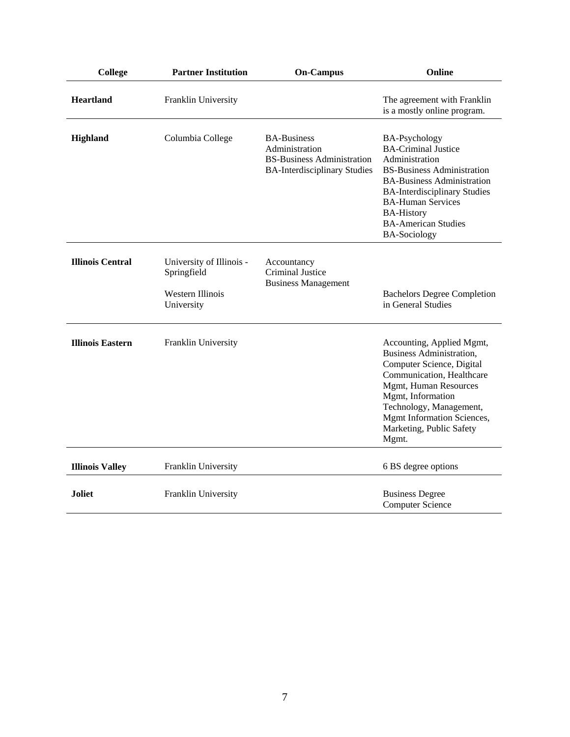| College                 | <b>Partner Institution</b>                                                | <b>On-Campus</b>                                                                                                 | Online                                                                                                                                                                                                                                                                                      |
|-------------------------|---------------------------------------------------------------------------|------------------------------------------------------------------------------------------------------------------|---------------------------------------------------------------------------------------------------------------------------------------------------------------------------------------------------------------------------------------------------------------------------------------------|
| <b>Heartland</b>        | Franklin University                                                       |                                                                                                                  | The agreement with Franklin<br>is a mostly online program.                                                                                                                                                                                                                                  |
| <b>Highland</b>         | Columbia College                                                          | <b>BA-Business</b><br>Administration<br><b>BS-Business Administration</b><br><b>BA-Interdisciplinary Studies</b> | <b>BA-Psychology</b><br><b>BA-Criminal Justice</b><br>Administration<br><b>BS-Business Administration</b><br><b>BA-Business Administration</b><br><b>BA-Interdisciplinary Studies</b><br><b>BA-Human Services</b><br><b>BA-History</b><br><b>BA-American Studies</b><br><b>BA-Sociology</b> |
| <b>Illinois Central</b> | University of Illinois -<br>Springfield<br>Western Illinois<br>University | Accountancy<br><b>Criminal Justice</b><br><b>Business Management</b>                                             | <b>Bachelors Degree Completion</b><br>in General Studies                                                                                                                                                                                                                                    |
| <b>Illinois Eastern</b> | Franklin University                                                       |                                                                                                                  | Accounting, Applied Mgmt,<br><b>Business Administration,</b><br>Computer Science, Digital<br>Communication, Healthcare<br>Mgmt, Human Resources<br>Mgmt, Information<br>Technology, Management,<br>Mgmt Information Sciences,<br>Marketing, Public Safety<br>Mgmt.                          |
| <b>Illinois Valley</b>  | Franklin University                                                       |                                                                                                                  | 6 BS degree options                                                                                                                                                                                                                                                                         |
| <b>Joliet</b>           | Franklin University                                                       |                                                                                                                  | <b>Business Degree</b><br><b>Computer Science</b>                                                                                                                                                                                                                                           |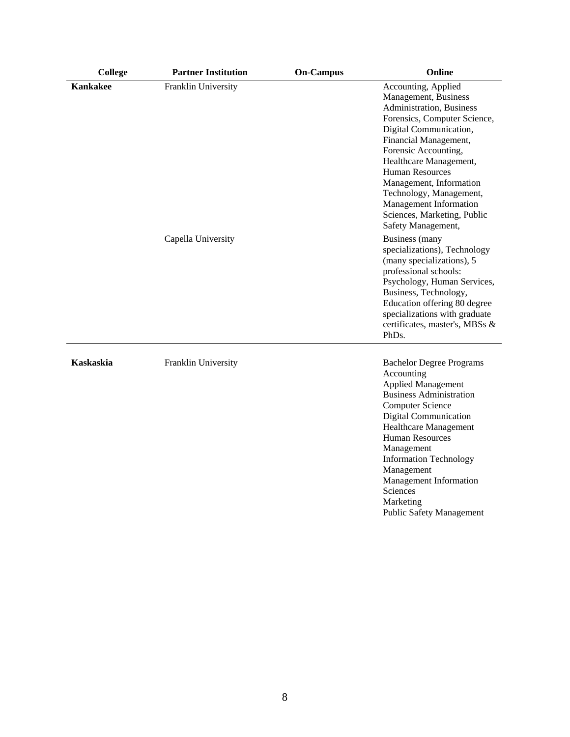| <b>College</b>   | <b>Partner Institution</b> | <b>On-Campus</b> | Online                                                                                                                                                                                                                                                                                                                                                                               |
|------------------|----------------------------|------------------|--------------------------------------------------------------------------------------------------------------------------------------------------------------------------------------------------------------------------------------------------------------------------------------------------------------------------------------------------------------------------------------|
| <b>Kankakee</b>  | Franklin University        |                  | Accounting, Applied<br>Management, Business<br>Administration, Business<br>Forensics, Computer Science,<br>Digital Communication,<br>Financial Management,<br>Forensic Accounting,<br>Healthcare Management,<br><b>Human Resources</b><br>Management, Information<br>Technology, Management,<br>Management Information<br>Sciences, Marketing, Public<br>Safety Management,          |
|                  | Capella University         |                  | <b>Business</b> (many<br>specializations), Technology<br>(many specializations), 5<br>professional schools:<br>Psychology, Human Services,<br>Business, Technology,<br>Education offering 80 degree<br>specializations with graduate<br>certificates, master's, MBSs &<br>PhD <sub>s</sub> .                                                                                         |
| <b>Kaskaskia</b> | Franklin University        |                  | <b>Bachelor Degree Programs</b><br>Accounting<br><b>Applied Management</b><br><b>Business Administration</b><br><b>Computer Science</b><br><b>Digital Communication</b><br><b>Healthcare Management</b><br><b>Human Resources</b><br>Management<br><b>Information Technology</b><br>Management<br>Management Information<br>Sciences<br>Marketing<br><b>Public Safety Management</b> |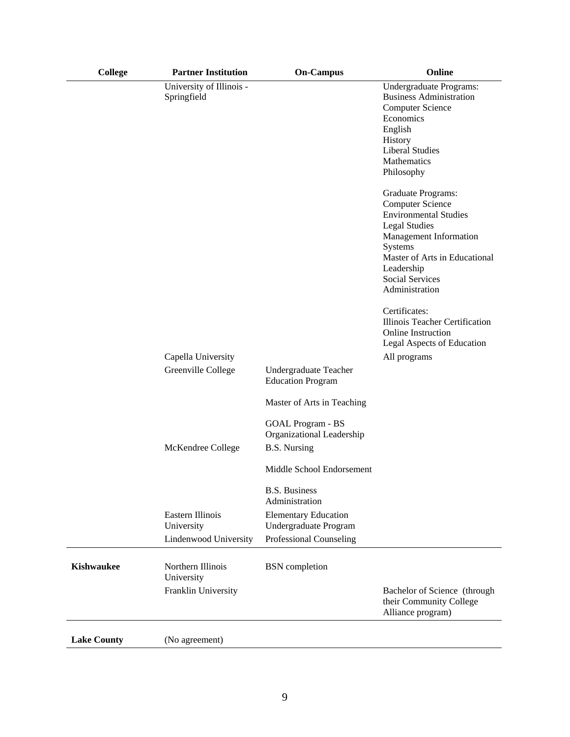| College            | <b>Partner Institution</b>              | <b>On-Campus</b>                                                                    | Online                                                                                                                                                                                                                                                          |
|--------------------|-----------------------------------------|-------------------------------------------------------------------------------------|-----------------------------------------------------------------------------------------------------------------------------------------------------------------------------------------------------------------------------------------------------------------|
|                    | University of Illinois -<br>Springfield |                                                                                     | Undergraduate Programs:<br><b>Business Administration</b><br><b>Computer Science</b><br>Economics<br>English<br>History<br><b>Liberal Studies</b><br>Mathematics<br>Philosophy<br>Graduate Programs:<br><b>Computer Science</b><br><b>Environmental Studies</b> |
|                    |                                         |                                                                                     | <b>Legal Studies</b><br>Management Information<br>Systems<br>Master of Arts in Educational<br>Leadership<br><b>Social Services</b><br>Administration                                                                                                            |
|                    |                                         |                                                                                     | Certificates:<br>Illinois Teacher Certification<br><b>Online Instruction</b><br>Legal Aspects of Education                                                                                                                                                      |
|                    | Capella University                      |                                                                                     | All programs                                                                                                                                                                                                                                                    |
|                    | Greenville College                      | Undergraduate Teacher<br><b>Education Program</b>                                   |                                                                                                                                                                                                                                                                 |
|                    |                                         | Master of Arts in Teaching<br><b>GOAL Program - BS</b><br>Organizational Leadership |                                                                                                                                                                                                                                                                 |
|                    | McKendree College                       | <b>B.S. Nursing</b>                                                                 |                                                                                                                                                                                                                                                                 |
|                    |                                         | Middle School Endorsement                                                           |                                                                                                                                                                                                                                                                 |
|                    |                                         | <b>B.S. Business</b><br>Administration                                              |                                                                                                                                                                                                                                                                 |
|                    | Eastern Illinois<br>University          | <b>Elementary Education</b><br>Undergraduate Program                                |                                                                                                                                                                                                                                                                 |
|                    | Lindenwood University                   | Professional Counseling                                                             |                                                                                                                                                                                                                                                                 |
| <b>Kishwaukee</b>  | Northern Illinois<br>University         | <b>BSN</b> completion                                                               |                                                                                                                                                                                                                                                                 |
|                    | Franklin University                     |                                                                                     | Bachelor of Science (through<br>their Community College<br>Alliance program)                                                                                                                                                                                    |
| <b>Lake County</b> | (No agreement)                          |                                                                                     |                                                                                                                                                                                                                                                                 |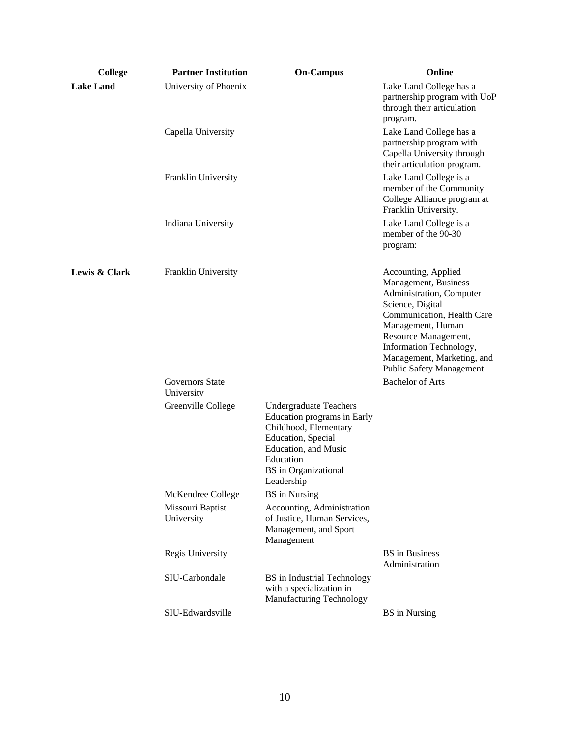| <b>College</b>   | <b>Partner Institution</b>             | <b>On-Campus</b>                                                                                                                                                                              | Online                                                                                                                                                                                                                                                                                        |
|------------------|----------------------------------------|-----------------------------------------------------------------------------------------------------------------------------------------------------------------------------------------------|-----------------------------------------------------------------------------------------------------------------------------------------------------------------------------------------------------------------------------------------------------------------------------------------------|
| <b>Lake Land</b> | University of Phoenix                  |                                                                                                                                                                                               | Lake Land College has a<br>partnership program with UoP<br>through their articulation<br>program.                                                                                                                                                                                             |
|                  | Capella University                     |                                                                                                                                                                                               | Lake Land College has a<br>partnership program with<br>Capella University through<br>their articulation program.                                                                                                                                                                              |
|                  | Franklin University                    |                                                                                                                                                                                               | Lake Land College is a<br>member of the Community<br>College Alliance program at<br>Franklin University.                                                                                                                                                                                      |
|                  | Indiana University                     |                                                                                                                                                                                               | Lake Land College is a<br>member of the 90-30<br>program:                                                                                                                                                                                                                                     |
| Lewis & Clark    | Franklin University<br>Governors State |                                                                                                                                                                                               | Accounting, Applied<br>Management, Business<br>Administration, Computer<br>Science, Digital<br>Communication, Health Care<br>Management, Human<br>Resource Management,<br>Information Technology,<br>Management, Marketing, and<br><b>Public Safety Management</b><br><b>Bachelor of Arts</b> |
|                  | University                             |                                                                                                                                                                                               |                                                                                                                                                                                                                                                                                               |
|                  | Greenville College                     | <b>Undergraduate Teachers</b><br>Education programs in Early<br>Childhood, Elementary<br>Education, Special<br>Education, and Music<br>Education<br><b>BS</b> in Organizational<br>Leadership |                                                                                                                                                                                                                                                                                               |
|                  | McKendree College                      | <b>BS</b> in Nursing                                                                                                                                                                          |                                                                                                                                                                                                                                                                                               |
|                  | Missouri Baptist<br>University         | Accounting, Administration<br>of Justice, Human Services,<br>Management, and Sport<br>Management                                                                                              |                                                                                                                                                                                                                                                                                               |
|                  | Regis University                       |                                                                                                                                                                                               | <b>BS</b> in Business<br>Administration                                                                                                                                                                                                                                                       |
|                  | SIU-Carbondale                         | <b>BS</b> in Industrial Technology<br>with a specialization in<br>Manufacturing Technology                                                                                                    |                                                                                                                                                                                                                                                                                               |
|                  | SIU-Edwardsville                       |                                                                                                                                                                                               | <b>BS</b> in Nursing                                                                                                                                                                                                                                                                          |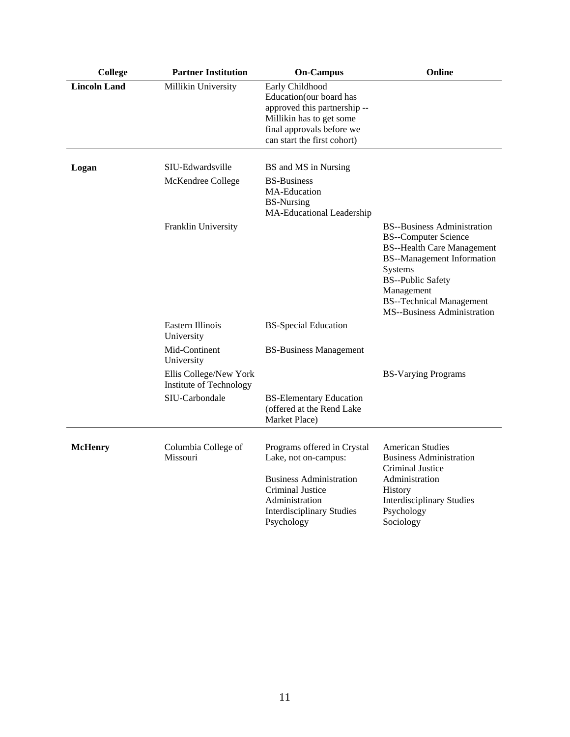| <b>College</b>      | <b>Partner Institution</b>                        | <b>On-Campus</b>                                                                                                                                                              | Online                                                                                                                                                                                                                                                             |
|---------------------|---------------------------------------------------|-------------------------------------------------------------------------------------------------------------------------------------------------------------------------------|--------------------------------------------------------------------------------------------------------------------------------------------------------------------------------------------------------------------------------------------------------------------|
| <b>Lincoln Land</b> | Millikin University                               | Early Childhood<br>Education(our board has<br>approved this partnership --<br>Millikin has to get some<br>final approvals before we<br>can start the first cohort)            |                                                                                                                                                                                                                                                                    |
| Logan               | SIU-Edwardsville                                  | BS and MS in Nursing                                                                                                                                                          |                                                                                                                                                                                                                                                                    |
|                     | McKendree College                                 | <b>BS-Business</b><br>MA-Education<br><b>BS-Nursing</b><br>MA-Educational Leadership                                                                                          |                                                                                                                                                                                                                                                                    |
|                     | Franklin University                               |                                                                                                                                                                               | <b>BS--Business Administration</b><br><b>BS--Computer Science</b><br><b>BS--Health Care Management</b><br><b>BS--Management Information</b><br>Systems<br><b>BS--Public Safety</b><br>Management<br><b>BS--Technical Management</b><br>MS--Business Administration |
|                     | Eastern Illinois<br>University                    | <b>BS-Special Education</b>                                                                                                                                                   |                                                                                                                                                                                                                                                                    |
|                     | Mid-Continent<br>University                       | <b>BS-Business Management</b>                                                                                                                                                 |                                                                                                                                                                                                                                                                    |
|                     | Ellis College/New York<br>Institute of Technology |                                                                                                                                                                               | <b>BS-Varying Programs</b>                                                                                                                                                                                                                                         |
|                     | SIU-Carbondale                                    | <b>BS-Elementary Education</b><br>(offered at the Rend Lake<br>Market Place)                                                                                                  |                                                                                                                                                                                                                                                                    |
| <b>McHenry</b>      | Columbia College of<br>Missouri                   | Programs offered in Crystal<br>Lake, not on-campus:<br><b>Business Administration</b><br>Criminal Justice<br>Administration<br><b>Interdisciplinary Studies</b><br>Psychology | <b>American Studies</b><br><b>Business Administration</b><br>Criminal Justice<br>Administration<br><b>History</b><br><b>Interdisciplinary Studies</b><br>Psychology<br>Sociology                                                                                   |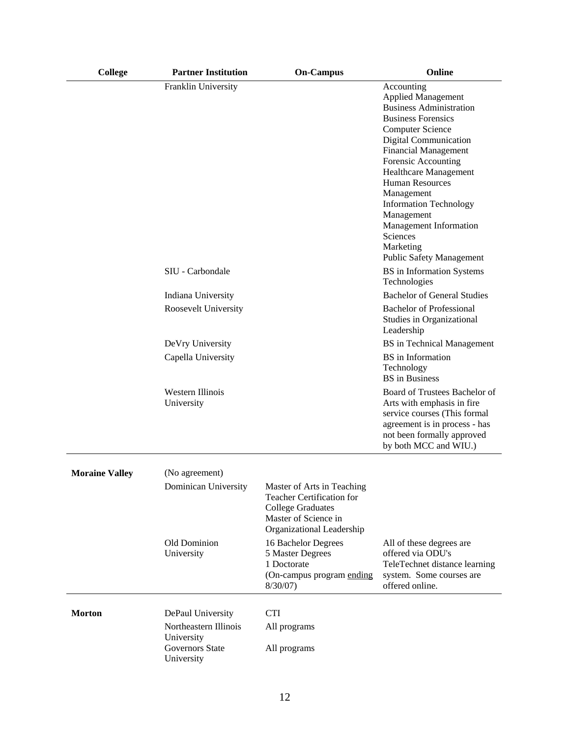| <b>College</b>        | <b>Partner Institution</b>          | <b>On-Campus</b>                                                                                                                         | Online                                                                                                                                                                                                                                                                                                                                                                                                                 |
|-----------------------|-------------------------------------|------------------------------------------------------------------------------------------------------------------------------------------|------------------------------------------------------------------------------------------------------------------------------------------------------------------------------------------------------------------------------------------------------------------------------------------------------------------------------------------------------------------------------------------------------------------------|
|                       | Franklin University                 |                                                                                                                                          | Accounting<br><b>Applied Management</b><br><b>Business Administration</b><br><b>Business Forensics</b><br><b>Computer Science</b><br>Digital Communication<br><b>Financial Management</b><br>Forensic Accounting<br>Healthcare Management<br><b>Human Resources</b><br>Management<br><b>Information Technology</b><br>Management<br>Management Information<br>Sciences<br>Marketing<br><b>Public Safety Management</b> |
|                       | SIU - Carbondale                    |                                                                                                                                          | BS in Information Systems<br>Technologies                                                                                                                                                                                                                                                                                                                                                                              |
|                       | Indiana University                  |                                                                                                                                          | <b>Bachelor of General Studies</b>                                                                                                                                                                                                                                                                                                                                                                                     |
|                       | Roosevelt University                |                                                                                                                                          | <b>Bachelor of Professional</b><br>Studies in Organizational<br>Leadership                                                                                                                                                                                                                                                                                                                                             |
|                       | DeVry University                    |                                                                                                                                          | <b>BS</b> in Technical Management                                                                                                                                                                                                                                                                                                                                                                                      |
|                       | Capella University                  |                                                                                                                                          | <b>BS</b> in Information<br>Technology<br><b>BS</b> in Business                                                                                                                                                                                                                                                                                                                                                        |
|                       | Western Illinois<br>University      |                                                                                                                                          | Board of Trustees Bachelor of<br>Arts with emphasis in fire<br>service courses (This formal<br>agreement is in process - has<br>not been formally approved<br>by both MCC and WIU.)                                                                                                                                                                                                                                    |
| <b>Moraine Valley</b> | (No agreement)                      |                                                                                                                                          |                                                                                                                                                                                                                                                                                                                                                                                                                        |
|                       | Dominican University                | Master of Arts in Teaching<br>Teacher Certification for<br><b>College Graduates</b><br>Master of Science in<br>Organizational Leadership |                                                                                                                                                                                                                                                                                                                                                                                                                        |
|                       | Old Dominion<br>University          | 16 Bachelor Degrees<br>5 Master Degrees<br>1 Doctorate<br>(On-campus program ending<br>$8/30/07$ )                                       | All of these degrees are<br>offered via ODU's<br>TeleTechnet distance learning<br>system. Some courses are<br>offered online.                                                                                                                                                                                                                                                                                          |
| <b>Morton</b>         | DePaul University                   | <b>CTI</b>                                                                                                                               |                                                                                                                                                                                                                                                                                                                                                                                                                        |
|                       | Northeastern Illinois<br>University | All programs                                                                                                                             |                                                                                                                                                                                                                                                                                                                                                                                                                        |
|                       | Governors State<br>University       | All programs                                                                                                                             |                                                                                                                                                                                                                                                                                                                                                                                                                        |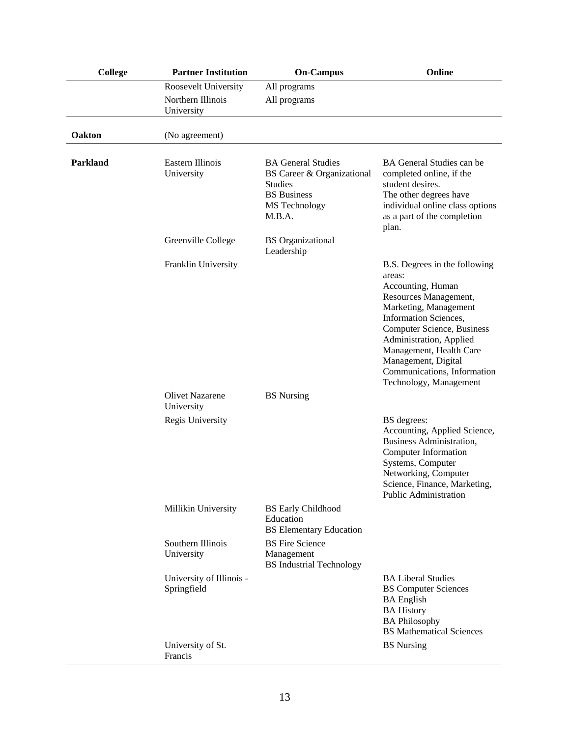| College  | <b>Partner Institution</b>              | <b>On-Campus</b>                                                                                                           | Online                                                                                                                                                                                                                                                                                                                    |
|----------|-----------------------------------------|----------------------------------------------------------------------------------------------------------------------------|---------------------------------------------------------------------------------------------------------------------------------------------------------------------------------------------------------------------------------------------------------------------------------------------------------------------------|
|          | Roosevelt University                    | All programs                                                                                                               |                                                                                                                                                                                                                                                                                                                           |
|          | Northern Illinois<br>University         | All programs                                                                                                               |                                                                                                                                                                                                                                                                                                                           |
| Oakton   | (No agreement)                          |                                                                                                                            |                                                                                                                                                                                                                                                                                                                           |
| Parkland | Eastern Illinois<br>University          | <b>BA General Studies</b><br>BS Career & Organizational<br><b>Studies</b><br><b>BS</b> Business<br>MS Technology<br>M.B.A. | BA General Studies can be<br>completed online, if the<br>student desires.<br>The other degrees have<br>individual online class options<br>as a part of the completion<br>plan.                                                                                                                                            |
|          | Greenville College                      | <b>BS</b> Organizational<br>Leadership                                                                                     |                                                                                                                                                                                                                                                                                                                           |
|          | Franklin University                     |                                                                                                                            | B.S. Degrees in the following<br>areas:<br>Accounting, Human<br>Resources Management,<br>Marketing, Management<br><b>Information Sciences,</b><br><b>Computer Science, Business</b><br>Administration, Applied<br>Management, Health Care<br>Management, Digital<br>Communications, Information<br>Technology, Management |
|          | <b>Olivet Nazarene</b><br>University    | <b>BS</b> Nursing                                                                                                          |                                                                                                                                                                                                                                                                                                                           |
|          | Regis University                        |                                                                                                                            | BS degrees:<br>Accounting, Applied Science,<br><b>Business Administration,</b><br>Computer Information<br>Systems, Computer<br>Networking, Computer<br>Science, Finance, Marketing,<br><b>Public Administration</b>                                                                                                       |
|          | Millikin University                     | <b>BS Early Childhood</b><br>Education<br><b>BS</b> Elementary Education                                                   |                                                                                                                                                                                                                                                                                                                           |
|          | Southern Illinois<br>University         | <b>BS</b> Fire Science<br>Management<br><b>BS</b> Industrial Technology                                                    |                                                                                                                                                                                                                                                                                                                           |
|          | University of Illinois -<br>Springfield |                                                                                                                            | <b>BA Liberal Studies</b><br><b>BS</b> Computer Sciences<br><b>BA</b> English<br><b>BA History</b><br><b>BA Philosophy</b><br><b>BS</b> Mathematical Sciences                                                                                                                                                             |
|          | University of St.<br>Francis            |                                                                                                                            | <b>BS</b> Nursing                                                                                                                                                                                                                                                                                                         |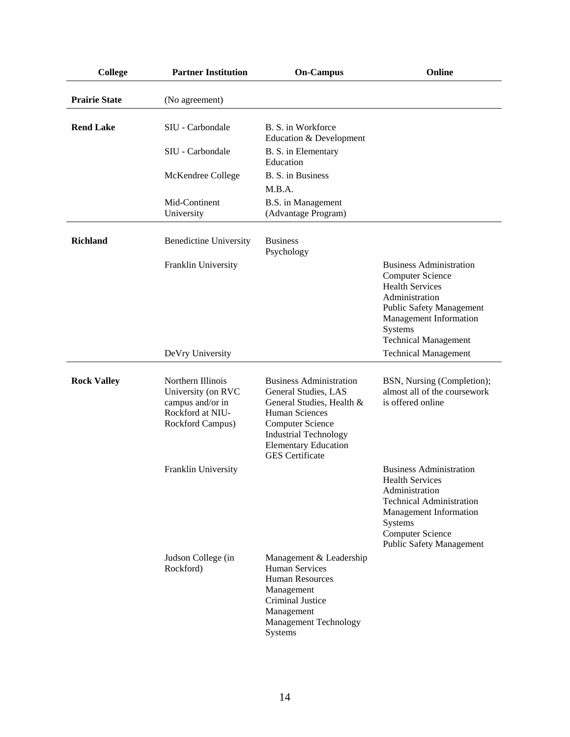| College              | <b>Partner Institution</b>                                                                          | <b>On-Campus</b>                                                                                                                                                                                                          | Online                                                                                                                                                                                                                                      |
|----------------------|-----------------------------------------------------------------------------------------------------|---------------------------------------------------------------------------------------------------------------------------------------------------------------------------------------------------------------------------|---------------------------------------------------------------------------------------------------------------------------------------------------------------------------------------------------------------------------------------------|
| <b>Prairie State</b> | (No agreement)                                                                                      |                                                                                                                                                                                                                           |                                                                                                                                                                                                                                             |
| <b>Rend Lake</b>     | SIU - Carbondale                                                                                    | B. S. in Workforce<br>Education & Development                                                                                                                                                                             |                                                                                                                                                                                                                                             |
|                      | SIU - Carbondale                                                                                    | B. S. in Elementary<br>Education                                                                                                                                                                                          |                                                                                                                                                                                                                                             |
|                      | McKendree College                                                                                   | B. S. in Business<br>M.B.A.                                                                                                                                                                                               |                                                                                                                                                                                                                                             |
|                      | Mid-Continent<br>University                                                                         | B.S. in Management<br>(Advantage Program)                                                                                                                                                                                 |                                                                                                                                                                                                                                             |
| <b>Richland</b>      | <b>Benedictine University</b>                                                                       | <b>Business</b><br>Psychology                                                                                                                                                                                             |                                                                                                                                                                                                                                             |
|                      | Franklin University<br>DeVry University                                                             |                                                                                                                                                                                                                           | <b>Business Administration</b><br><b>Computer Science</b><br><b>Health Services</b><br>Administration<br><b>Public Safety Management</b><br>Management Information<br>Systems<br><b>Technical Management</b><br><b>Technical Management</b> |
|                      |                                                                                                     |                                                                                                                                                                                                                           |                                                                                                                                                                                                                                             |
| <b>Rock Valley</b>   | Northern Illinois<br>University (on RVC<br>campus and/or in<br>Rockford at NIU-<br>Rockford Campus) | <b>Business Administration</b><br>General Studies, LAS<br>General Studies, Health &<br>Human Sciences<br><b>Computer Science</b><br><b>Industrial Technology</b><br><b>Elementary Education</b><br><b>GES</b> Certificate | BSN, Nursing (Completion);<br>almost all of the coursework<br>is offered online                                                                                                                                                             |
|                      | Franklin University                                                                                 |                                                                                                                                                                                                                           | <b>Business Administration</b><br><b>Health Services</b><br>Administration<br><b>Technical Administration</b><br>Management Information<br>Systems<br><b>Computer Science</b><br><b>Public Safety Management</b>                            |
|                      | Judson College (in<br>Rockford)                                                                     | Management & Leadership<br>Human Services<br><b>Human Resources</b><br>Management<br>Criminal Justice<br>Management<br><b>Management Technology</b><br>Systems                                                            |                                                                                                                                                                                                                                             |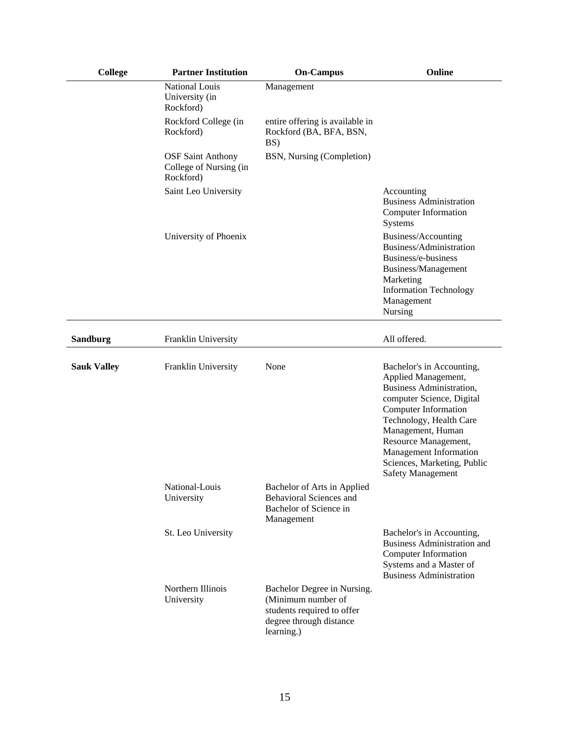| <b>College</b>     | <b>Partner Institution</b>                                      | <b>On-Campus</b>                                                                                                         | Online                                                                                                                                                                                                                                                                                         |
|--------------------|-----------------------------------------------------------------|--------------------------------------------------------------------------------------------------------------------------|------------------------------------------------------------------------------------------------------------------------------------------------------------------------------------------------------------------------------------------------------------------------------------------------|
|                    | <b>National Louis</b><br>University (in<br>Rockford)            | Management                                                                                                               |                                                                                                                                                                                                                                                                                                |
|                    | Rockford College (in<br>Rockford)                               | entire offering is available in<br>Rockford (BA, BFA, BSN,<br>BS)                                                        |                                                                                                                                                                                                                                                                                                |
|                    | <b>OSF Saint Anthony</b><br>College of Nursing (in<br>Rockford) | BSN, Nursing (Completion)                                                                                                |                                                                                                                                                                                                                                                                                                |
|                    | Saint Leo University                                            |                                                                                                                          | Accounting<br><b>Business Administration</b><br>Computer Information<br>Systems                                                                                                                                                                                                                |
|                    | University of Phoenix                                           |                                                                                                                          | Business/Accounting<br>Business/Administration<br>Business/e-business<br>Business/Management<br>Marketing<br><b>Information Technology</b><br>Management<br>Nursing                                                                                                                            |
| <b>Sandburg</b>    | Franklin University                                             |                                                                                                                          | All offered.                                                                                                                                                                                                                                                                                   |
| <b>Sauk Valley</b> | Franklin University                                             | None                                                                                                                     | Bachelor's in Accounting,<br>Applied Management,<br>Business Administration,<br>computer Science, Digital<br>Computer Information<br>Technology, Health Care<br>Management, Human<br>Resource Management,<br>Management Information<br>Sciences, Marketing, Public<br><b>Safety Management</b> |
|                    | National-Louis<br>University                                    | Bachelor of Arts in Applied<br><b>Behavioral Sciences and</b><br>Bachelor of Science in<br>Management                    |                                                                                                                                                                                                                                                                                                |
|                    | St. Leo University                                              |                                                                                                                          | Bachelor's in Accounting,<br><b>Business Administration and</b><br>Computer Information<br>Systems and a Master of<br><b>Business Administration</b>                                                                                                                                           |
|                    | Northern Illinois<br>University                                 | Bachelor Degree in Nursing.<br>(Minimum number of<br>students required to offer<br>degree through distance<br>learning.) |                                                                                                                                                                                                                                                                                                |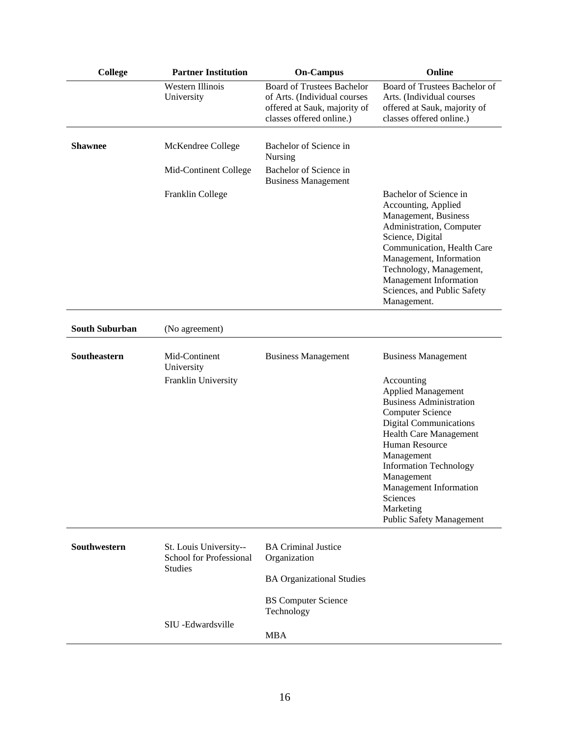| <b>College</b>        | <b>Partner Institution</b>                                          | <b>On-Campus</b>                                                                                                              | Online                                                                                                                                                                                                                                                                                                                                                                           |
|-----------------------|---------------------------------------------------------------------|-------------------------------------------------------------------------------------------------------------------------------|----------------------------------------------------------------------------------------------------------------------------------------------------------------------------------------------------------------------------------------------------------------------------------------------------------------------------------------------------------------------------------|
|                       | <b>Western Illinois</b><br>University                               | <b>Board of Trustees Bachelor</b><br>of Arts. (Individual courses<br>offered at Sauk, majority of<br>classes offered online.) | Board of Trustees Bachelor of<br>Arts. (Individual courses<br>offered at Sauk, majority of<br>classes offered online.)                                                                                                                                                                                                                                                           |
| <b>Shawnee</b>        | McKendree College                                                   | Bachelor of Science in<br>Nursing                                                                                             |                                                                                                                                                                                                                                                                                                                                                                                  |
|                       | Mid-Continent College                                               | Bachelor of Science in<br><b>Business Management</b>                                                                          |                                                                                                                                                                                                                                                                                                                                                                                  |
|                       | Franklin College                                                    |                                                                                                                               | Bachelor of Science in<br>Accounting, Applied<br>Management, Business<br>Administration, Computer<br>Science, Digital<br>Communication, Health Care<br>Management, Information<br>Technology, Management,<br>Management Information<br>Sciences, and Public Safety<br>Management.                                                                                                |
| <b>South Suburban</b> | (No agreement)                                                      |                                                                                                                               |                                                                                                                                                                                                                                                                                                                                                                                  |
| Southeastern          | Mid-Continent<br>University<br>Franklin University                  | <b>Business Management</b>                                                                                                    | <b>Business Management</b><br>Accounting<br><b>Applied Management</b><br><b>Business Administration</b><br><b>Computer Science</b><br><b>Digital Communications</b><br><b>Health Care Management</b><br>Human Resource<br>Management<br><b>Information Technology</b><br>Management<br><b>Management Information</b><br>Sciences<br>Marketing<br><b>Public Safety Management</b> |
| Southwestern          | St. Louis University--<br>School for Professional<br><b>Studies</b> | <b>BA Criminal Justice</b><br>Organization                                                                                    |                                                                                                                                                                                                                                                                                                                                                                                  |
|                       |                                                                     | <b>BA Organizational Studies</b><br><b>BS</b> Computer Science<br>Technology                                                  |                                                                                                                                                                                                                                                                                                                                                                                  |
|                       | SIU -Edwardsville                                                   | <b>MBA</b>                                                                                                                    |                                                                                                                                                                                                                                                                                                                                                                                  |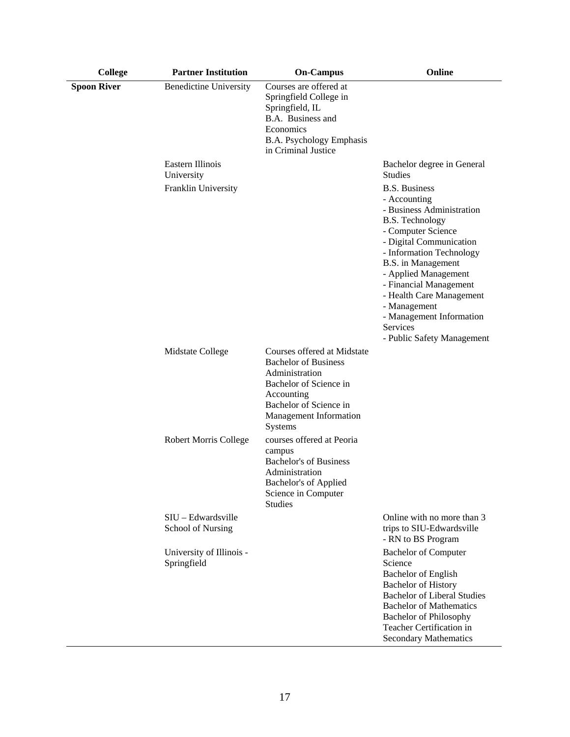| <b>College</b>     | <b>Partner Institution</b>                       | <b>On-Campus</b>                                                                                                                                                                    | Online                                                                                                                                                                                                                                                                                                                                                             |
|--------------------|--------------------------------------------------|-------------------------------------------------------------------------------------------------------------------------------------------------------------------------------------|--------------------------------------------------------------------------------------------------------------------------------------------------------------------------------------------------------------------------------------------------------------------------------------------------------------------------------------------------------------------|
| <b>Spoon River</b> | <b>Benedictine University</b>                    | Courses are offered at<br>Springfield College in<br>Springfield, IL<br>B.A. Business and<br>Economics<br>B.A. Psychology Emphasis<br>in Criminal Justice                            |                                                                                                                                                                                                                                                                                                                                                                    |
|                    | Eastern Illinois<br>University                   |                                                                                                                                                                                     | Bachelor degree in General<br><b>Studies</b>                                                                                                                                                                                                                                                                                                                       |
|                    | Franklin University                              |                                                                                                                                                                                     | <b>B.S. Business</b><br>- Accounting<br>- Business Administration<br><b>B.S. Technology</b><br>- Computer Science<br>- Digital Communication<br>- Information Technology<br>B.S. in Management<br>- Applied Management<br>- Financial Management<br>- Health Care Management<br>- Management<br>- Management Information<br>Services<br>- Public Safety Management |
|                    | Midstate College                                 | Courses offered at Midstate<br><b>Bachelor of Business</b><br>Administration<br>Bachelor of Science in<br>Accounting<br>Bachelor of Science in<br>Management Information<br>Systems |                                                                                                                                                                                                                                                                                                                                                                    |
|                    | <b>Robert Morris College</b>                     | courses offered at Peoria<br>campus<br><b>Bachelor's of Business</b><br>Administration<br>Bachelor's of Applied<br>Science in Computer<br><b>Studies</b>                            |                                                                                                                                                                                                                                                                                                                                                                    |
|                    | $SIU - Edwardsville$<br><b>School of Nursing</b> |                                                                                                                                                                                     | Online with no more than 3<br>trips to SIU-Edwardsville<br>- RN to BS Program                                                                                                                                                                                                                                                                                      |
|                    | University of Illinois -<br>Springfield          |                                                                                                                                                                                     | <b>Bachelor of Computer</b><br>Science<br>Bachelor of English<br><b>Bachelor of History</b><br><b>Bachelor of Liberal Studies</b><br><b>Bachelor of Mathematics</b><br><b>Bachelor of Philosophy</b><br>Teacher Certification in<br><b>Secondary Mathematics</b>                                                                                                   |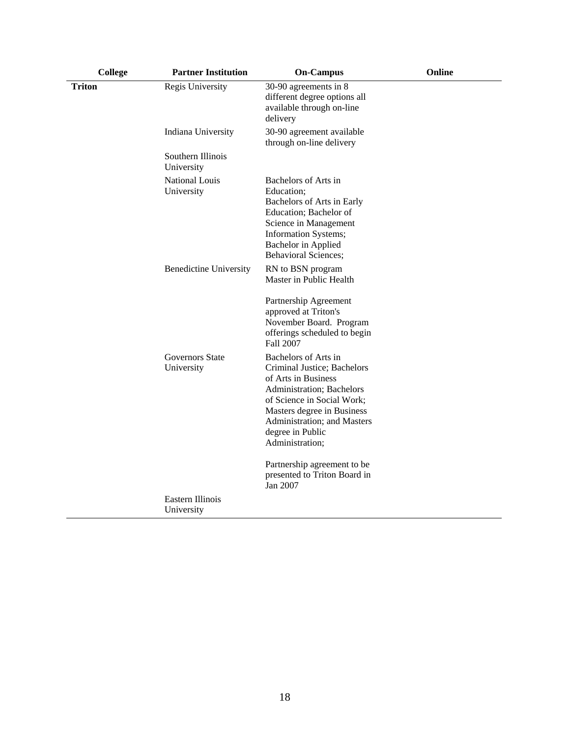| <b>College</b> | <b>Partner Institution</b>      | <b>On-Campus</b>                                                                                                                                                                                                                          | Online |
|----------------|---------------------------------|-------------------------------------------------------------------------------------------------------------------------------------------------------------------------------------------------------------------------------------------|--------|
| <b>Triton</b>  | Regis University                | 30-90 agreements in 8<br>different degree options all<br>available through on-line<br>delivery                                                                                                                                            |        |
|                | Indiana University              | 30-90 agreement available<br>through on-line delivery                                                                                                                                                                                     |        |
|                | Southern Illinois<br>University |                                                                                                                                                                                                                                           |        |
|                | National Louis<br>University    | Bachelors of Arts in<br>Education;<br>Bachelors of Arts in Early<br>Education; Bachelor of<br>Science in Management<br>Information Systems;<br>Bachelor in Applied<br><b>Behavioral Sciences;</b>                                         |        |
|                | <b>Benedictine University</b>   | RN to BSN program<br>Master in Public Health                                                                                                                                                                                              |        |
|                |                                 | Partnership Agreement<br>approved at Triton's<br>November Board. Program<br>offerings scheduled to begin<br><b>Fall 2007</b>                                                                                                              |        |
|                | Governors State<br>University   | Bachelors of Arts in<br>Criminal Justice; Bachelors<br>of Arts in Business<br>Administration; Bachelors<br>of Science in Social Work;<br>Masters degree in Business<br>Administration; and Masters<br>degree in Public<br>Administration; |        |
|                |                                 | Partnership agreement to be<br>presented to Triton Board in<br>Jan 2007                                                                                                                                                                   |        |
|                | Eastern Illinois<br>University  |                                                                                                                                                                                                                                           |        |